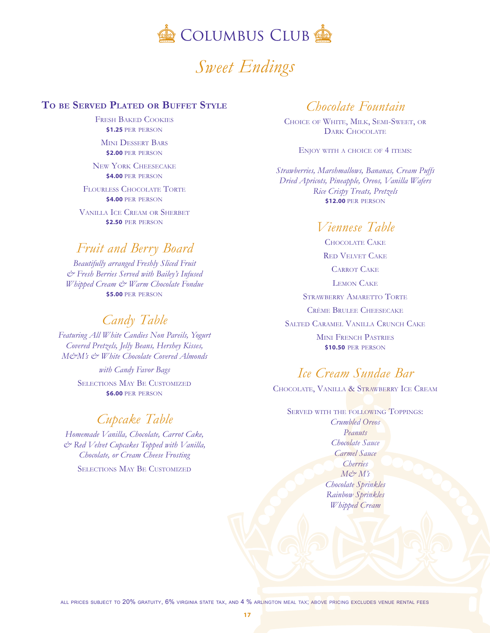

# *Sweet Endings*

#### **To be Served Plated or Buffet Style**

Fresh Baked Cookies **\$1.25** per person

Mini Dessert Bars **\$2.00 PER PERSON** 

New York Cheesecake **\$4.00** per person

Flourless Chocolate Torte **\$4.00** per person

Vanilla Ice Cream or Sherbet **\$2.50** per person

# *<sup>F</sup>ruit and Berry Board*

*Beautifully arranged Freshly Sliced Fruit & Fresh Berries Served with Bailey's Infused Whipped Cream & Warm Chocolate Fondue* **\$5.00** per person

### *<sup>C</sup>andy Table*

*Featuring All White Candies Non Pareils, Yogurt Covered Pretzels, Jelly Beans, Hershey Kisses, M&M's & White Chocolate Covered Almonds*

> *with Candy Favor Bags* Selections May Be Customized **\$6.00** per person

## *<sup>C</sup>upcake Table*

*Homemade Vanilla, Chocolate, Carrot Cake, & Red Velvet Cupcakes Topped with Vanilla, Chocolate, or Cream Cheese Frosting* Selections May Be Customized

### *<sup>C</sup>hocolate Fountain*

Choice of White, Milk, Semi-Sweet, or DARK CHOCOLATE

ENJOY WITH A CHOICE OF 4 ITEMS:

*Strawberries, Marshmallows, Bananas, Cream Puffs Dried Apricots, Pineapple, Oreos, Vanilla Wafers Rice Crispy Treats, Pretzels* **\$12.00** per person

# *Viennese Table*

Chocolate Cake Red Velvet Cake Carrot Cake Lemon Cake STRAWBERRY AMARETTO TORTE Crème Brulee Cheesecake Salted Caramel Vanilla Crunch Cake Mini French Pastries **\$10.50** per person

# *<sup>I</sup>ce Cream Sundae Bar*

Chocolate, Vanilla & Strawberry Ice Cream

SERVED WITH THE FOLLOWING TOPPINGS' *Crumbled Oreos Peanuts Chocolate Sauce Carmel Sauce Cherries*  $M\phi \gamma M'$ s *Chocolate Sprinkles Rainbow Sprinkles Whipped Cream*

all prices subject to 20% gratuity, 6% virginia state tax, and 4 % arlington meal tax; above pricing excludes venue rental fees